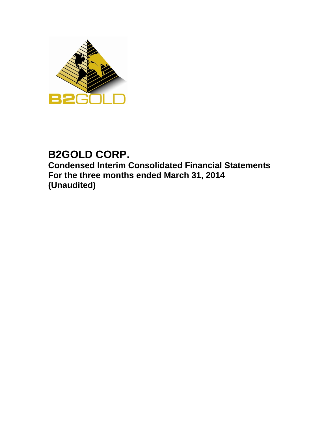

# **B2GOLD CORP. Condensed Interim Consolidated Financial Statements For the three months ended March 31, 2014 (Unaudited)**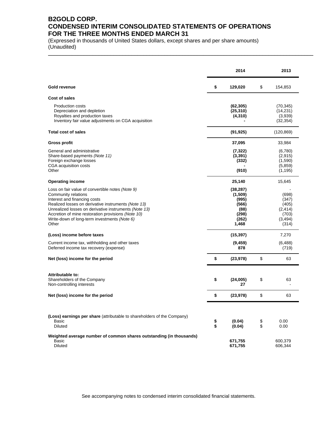# **B2GOLD CORP. CONDENSED INTERIM CONSOLIDATED STATEMENTS OF OPERATIONS FOR THE THREE MONTHS ENDED MARCH 31**

\_\_\_\_\_\_\_\_\_\_\_\_\_\_\_\_\_\_\_\_\_\_\_\_\_\_\_\_\_\_\_\_\_\_\_\_\_\_\_\_\_\_\_\_\_\_\_\_\_\_\_\_\_\_\_\_\_\_\_\_\_\_\_\_\_\_\_\_\_\_\_\_\_\_\_\_\_\_\_\_\_\_\_\_\_\_\_\_\_

(Expressed in thousands of United States dollars, except shares and per share amounts) (Unaudited)

|                                                                                                                                                                                                                                                                                                                                        |          | 2014                                                                      |          | 2013                                                              |
|----------------------------------------------------------------------------------------------------------------------------------------------------------------------------------------------------------------------------------------------------------------------------------------------------------------------------------------|----------|---------------------------------------------------------------------------|----------|-------------------------------------------------------------------|
| Gold revenue                                                                                                                                                                                                                                                                                                                           | \$       | 129,020                                                                   | \$       | 154,853                                                           |
| Cost of sales                                                                                                                                                                                                                                                                                                                          |          |                                                                           |          |                                                                   |
| <b>Production costs</b><br>Depreciation and depletion<br>Royalties and production taxes<br>Inventory fair value adjustments on CGA acquisition                                                                                                                                                                                         |          | (62,305)<br>(25, 310)<br>(4, 310)                                         |          | (70, 345)<br>(14, 231)<br>(3,939)<br>(32, 354)                    |
| <b>Total cost of sales</b>                                                                                                                                                                                                                                                                                                             |          | (91, 925)                                                                 |          | (120, 869)                                                        |
| <b>Gross profit</b>                                                                                                                                                                                                                                                                                                                    |          | 37,095                                                                    |          | 33,984                                                            |
| General and administrative<br>Share-based payments (Note 11)<br>Foreign exchange losses<br>CGA acquisition costs<br>Other                                                                                                                                                                                                              |          | (7, 322)<br>(3, 391)<br>(332)<br>(910)                                    |          | (6,780)<br>(2,915)<br>(1,590)<br>(5,859)<br>(1, 195)              |
| <b>Operating income</b>                                                                                                                                                                                                                                                                                                                |          | 25,140                                                                    |          | 15,645                                                            |
| Loss on fair value of convertible notes (Note 9)<br>Community relations<br>Interest and financing costs<br>Realized losses on derivative instruments (Note 13)<br>Unrealized losses on derivative instruments (Note 13)<br>Accretion of mine restoration provisions (Note 10)<br>Write-down of long-term investments (Note 6)<br>Other |          | (38, 287)<br>(1,509)<br>(995)<br>(566)<br>(88)<br>(298)<br>(262)<br>1,468 |          | (698)<br>(347)<br>(405)<br>(2, 414)<br>(703)<br>(3, 494)<br>(314) |
| (Loss) income before taxes                                                                                                                                                                                                                                                                                                             |          | (15, 397)                                                                 |          | 7,270                                                             |
| Current income tax, withholding and other taxes<br>Deferred income tax recovery (expense)                                                                                                                                                                                                                                              |          | (9, 459)<br>878                                                           |          | (6, 488)<br>(719)                                                 |
| Net (loss) income for the period                                                                                                                                                                                                                                                                                                       | \$       | (23, 978)                                                                 | \$       | 63                                                                |
| Attributable to:<br>Shareholders of the Company<br>Non-controlling interests                                                                                                                                                                                                                                                           | \$       | (24,005)<br>27                                                            | \$       | 63                                                                |
| Net (loss) income for the period                                                                                                                                                                                                                                                                                                       | \$       | (23, 978)                                                                 | \$       | 63                                                                |
| (Loss) earnings per share (attributable to shareholders of the Company)<br>Basic<br><b>Diluted</b>                                                                                                                                                                                                                                     | \$<br>\$ | (0.04)<br>(0.04)                                                          | \$<br>\$ | 0.00<br>0.00                                                      |
| Weighted average number of common shares outstanding (in thousands)<br>Basic<br><b>Diluted</b>                                                                                                                                                                                                                                         |          | 671,755<br>671,755                                                        |          | 600,379<br>606,344                                                |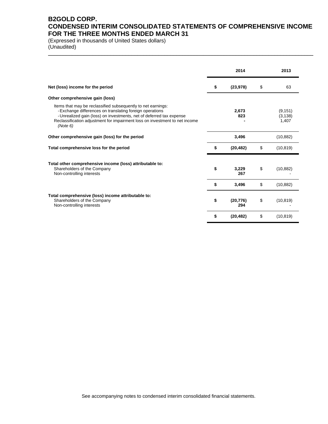# **B2GOLD CORP. CONDENSED INTERIM CONSOLIDATED STATEMENTS OF COMPREHENSIVE INCOME FOR THE THREE MONTHS ENDED MARCH 31**

\_\_\_\_\_\_\_\_\_\_\_\_\_\_\_\_\_\_\_\_\_\_\_\_\_\_\_\_\_\_\_\_\_\_\_\_\_\_\_\_\_\_\_\_\_\_\_\_\_\_\_\_\_\_\_\_\_\_\_\_\_\_\_\_\_\_\_\_\_\_\_\_\_\_\_\_\_\_\_\_\_\_\_\_\_\_\_\_\_

(Expressed in thousands of United States dollars) (Unaudited)

|                                                                                                                                                                                                                                                                                            | 2014                   | 2013                          |
|--------------------------------------------------------------------------------------------------------------------------------------------------------------------------------------------------------------------------------------------------------------------------------------------|------------------------|-------------------------------|
| Net (loss) income for the period                                                                                                                                                                                                                                                           | \$<br>(23, 978)        | \$<br>63                      |
| Other comprehensive gain (loss)                                                                                                                                                                                                                                                            |                        |                               |
| Items that may be reclassified subsequently to net earnings:<br>- Exchange differences on translating foreign operations<br>-Unrealized gain (loss) on investments, net of deferred tax expense<br>Reclassification adjustment for impairment loss on investment to net income<br>(Note 6) | 2,673<br>823           | (9, 151)<br>(3, 138)<br>1,407 |
| Other comprehensive gain (loss) for the period                                                                                                                                                                                                                                             | 3,496                  | (10, 882)                     |
| Total comprehensive loss for the period                                                                                                                                                                                                                                                    | \$<br>(20, 482)        | \$<br>(10, 819)               |
| Total other comprehensive income (loss) attributable to:<br>Shareholders of the Company<br>Non-controlling interests                                                                                                                                                                       | \$<br>3,229<br>267     | \$<br>(10, 882)               |
|                                                                                                                                                                                                                                                                                            | \$<br>3,496            | \$<br>(10, 882)               |
| Total comprehensive (loss) income attributable to:<br>Shareholders of the Company<br>Non-controlling interests                                                                                                                                                                             | \$<br>(20, 776)<br>294 | \$<br>(10, 819)               |
|                                                                                                                                                                                                                                                                                            | \$<br>(20, 482)        | \$<br>(10, 819)               |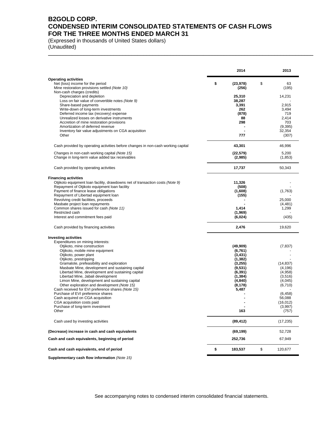# **B2GOLD CORP. CONDENSED INTERIM CONSOLIDATED STATEMENTS OF CASH FLOWS FOR THE THREE MONTHS ENDED MARCH 31**

\_\_\_\_\_\_\_\_\_\_\_\_\_\_\_\_\_\_\_\_\_\_\_\_\_\_\_\_\_\_\_\_\_\_\_\_\_\_\_\_\_\_\_\_\_\_\_\_\_\_\_\_\_\_\_\_\_\_\_\_\_\_\_\_\_\_\_\_\_\_\_\_\_\_\_\_\_\_\_\_\_\_\_\_\_\_\_\_\_

(Expressed in thousands of United States dollars) (Unaudited)

|                                                                                                  | 2014                     | 2013              |
|--------------------------------------------------------------------------------------------------|--------------------------|-------------------|
| <b>Operating activities</b>                                                                      |                          |                   |
| Net (loss) income for the period<br>Mine restoration provisions settled (Note 10)                | \$<br>(23, 978)<br>(256) | \$<br>63<br>(195) |
| Non-cash charges (credits)<br>Depreciation and depletion                                         | 25,310                   | 14,231            |
| Loss on fair value of convertible notes (Note 9)                                                 | 38,287                   |                   |
| Share-based payments                                                                             | 3,391                    | 2,915             |
| Write-down of long-term investments<br>Deferred income tax (recovery) expense                    | 262<br>(878)             | 3,494<br>719      |
| Unrealized losses on derivative instruments                                                      | 88                       | 2,414             |
| Accretion of mine restoration provisions                                                         | 298                      | 703               |
| Amortization of deferred revenue                                                                 |                          | (9, 395)          |
| Inventory fair value adjustments on CGA acquisition                                              |                          | 32,354            |
| Other                                                                                            | 777                      | (307)             |
| Cash provided by operating activities before changes in non-cash working capital                 | 43,301                   | 46,996            |
| Changes in non-cash working capital (Note 15)                                                    | (22, 579)                | 5,200             |
| Change in long-term value added tax receivables                                                  | (2,985)                  | (1, 853)          |
| Cash provided by operating activities                                                            | 17,737                   | 50,343            |
| <b>Financing activities</b>                                                                      |                          |                   |
| Otjikoto equipment loan facility, drawdowns net of transaction costs (Note 9)                    | 11,326                   |                   |
| Repayment of Otjikoto equipment loan facility                                                    | (508)                    |                   |
| Payment of finance lease obligations                                                             | (1,608)                  | (1,763)           |
| Repayment of Libertad equipment loan<br>Revolving credit facilities, proceeds                    | (155)                    | 25.000            |
| Masbate project loan repayments                                                                  |                          | (4, 481)          |
| Common shares issued for cash (Note 11)                                                          | 1,414                    | 1,299             |
| Restricted cash                                                                                  | (1,969)                  |                   |
| Interest and commitment fees paid                                                                | (6,024)                  | (435)             |
| Cash provided by financing activities                                                            | 2,476                    | 19,620            |
| <b>Investing activities</b>                                                                      |                          |                   |
| Expenditures on mining interests:                                                                |                          |                   |
| Otjikoto, mine construction<br>Otjikoto, mobile mine equipment                                   | (49,909)<br>(6,761)      | (7, 837)          |
| Otjikoto, power plant                                                                            | (3, 431)                 |                   |
| Otjikoto, prestripping                                                                           | (1, 382)                 |                   |
| Gramalote, prefeasibility and exploration                                                        | (3, 255)                 | (14, 837)         |
| Masbate Mine, development and sustaining capital                                                 | (9, 531)                 | (4, 196)          |
| Libertad Mine, development and sustaining capital                                                | (6, 391)                 | (4,958)           |
| Libertad Mine, Jabali development                                                                | (1, 384)                 | (3, 516)          |
| Limon Mine, development and sustaining capital                                                   | (4, 840)                 | (4,045)           |
| Other exploration and development (Note 15)<br>Cash received for EVI preference shares (Note 15) | (8, 178)<br>5,487        | (6, 710)          |
| Purchase of EVI preference shares                                                                |                          | (6, 458)          |
| Cash acquired on CGA acquisition                                                                 |                          | 56,088            |
| CGA acquisition costs paid                                                                       |                          | (16, 012)         |
| Purchase of long-term investment                                                                 |                          | (3,997)           |
| Other                                                                                            | 163                      | (757)             |
| Cash used by investing activities                                                                | (89, 412)                | (17, 235)         |
| (Decrease) increase in cash and cash equivalents                                                 | (69, 199)                | 52,728            |
| Cash and cash equivalents, beginning of period                                                   | 252,736                  | 67,949            |
| Cash and cash equivalents, end of period                                                         | \$<br>183,537            | \$<br>120,677     |
|                                                                                                  |                          |                   |

**Supplementary cash flow information** *(Note 15)*

See accompanying notes to condensed interim consolidated financial statements.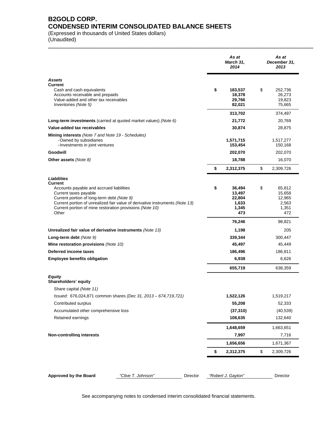# **B2GOLD CORP. CONDENSED INTERIM CONSOLIDATED BALANCE SHEETS**

(Expressed in thousands of United States dollars)

(Unaudited) \_\_\_\_\_\_\_\_\_\_\_\_\_\_\_\_\_\_\_\_\_\_\_\_\_\_\_\_\_\_\_\_\_\_\_\_\_\_\_\_\_\_\_\_\_\_\_\_\_\_\_\_\_\_\_\_\_\_\_\_\_\_\_\_\_\_\_\_\_\_\_\_\_\_\_\_\_\_\_\_\_\_\_\_\_\_\_\_\_

|                                                                                                                                                                                                                       |                                                                              |          | As at<br>March 31,<br>2014                                | As at<br>December 31,<br>2013                             |
|-----------------------------------------------------------------------------------------------------------------------------------------------------------------------------------------------------------------------|------------------------------------------------------------------------------|----------|-----------------------------------------------------------|-----------------------------------------------------------|
| Assets<br><b>Current</b><br>Cash and cash equivalents<br>Accounts receivable and prepaids<br>Value-added and other tax receivables<br>Inventories (Note 5)                                                            |                                                                              |          | \$<br>183,537<br>18,378<br>29,766<br>82,021               | \$<br>252,736<br>26,273<br>19,823<br>75,665               |
|                                                                                                                                                                                                                       |                                                                              |          | 313,702                                                   | 374,497                                                   |
| Long-term investments (carried at quoted market values) (Note 6)                                                                                                                                                      |                                                                              |          | 21,772                                                    | 20,769                                                    |
| Value-added tax receivables<br>Mining interests (Note 7 and Note 19 - Schedules)<br>- Owned by subsidiaries<br>- Investments in joint ventures                                                                        |                                                                              |          | 30,874<br>1,571,715<br>153,454                            | 28,875<br>1,517,277<br>150,168                            |
| Goodwill                                                                                                                                                                                                              |                                                                              |          | 202,070                                                   | 202,070                                                   |
| Other assets (Note 8)                                                                                                                                                                                                 |                                                                              |          | 18,788                                                    | 16,070                                                    |
|                                                                                                                                                                                                                       |                                                                              |          | \$<br>2,312,375                                           | \$<br>2,309,726                                           |
| Liabilities<br><b>Current</b><br>Accounts payable and accrued liabilities<br>Current taxes payable<br>Current portion of long-term debt (Note 9)<br>Current portion of mine restoration provisions (Note 10)<br>Other | Current portion of unrealized fair value of derivative instruments (Note 13) |          | \$<br>36,494<br>13,497<br>22,804<br>1,633<br>1,345<br>473 | \$<br>65,812<br>15,658<br>12,965<br>2,563<br>1,351<br>472 |
|                                                                                                                                                                                                                       |                                                                              |          | 76,246                                                    | 98,821                                                    |
| Unrealized fair value of derivative instruments (Note 13)                                                                                                                                                             |                                                                              |          | 1,198                                                     | 205                                                       |
| Long-term debt (Note 9)                                                                                                                                                                                               |                                                                              |          | 339,344                                                   | 300,447                                                   |
| Mine restoration provisions (Note 10)                                                                                                                                                                                 |                                                                              |          | 45,497                                                    | 45,449                                                    |
| Deferred income taxes                                                                                                                                                                                                 |                                                                              |          | 186,496                                                   | 186,811                                                   |
| <b>Employee benefits obligation</b>                                                                                                                                                                                   |                                                                              |          | 6,938                                                     | 6,626                                                     |
|                                                                                                                                                                                                                       |                                                                              |          | 655,719                                                   | 638,359                                                   |
| Equity<br>Shareholders' equity<br>Share capital (Note 11)                                                                                                                                                             |                                                                              |          |                                                           |                                                           |
|                                                                                                                                                                                                                       | Issued: 676,024,871 common shares (Dec 31, 2013 - 674,719,721)               |          | 1,522,126                                                 | 1,519,217                                                 |
| Contributed surplus                                                                                                                                                                                                   |                                                                              |          | 55,208                                                    | 52,333                                                    |
| Accumulated other comprehensive loss                                                                                                                                                                                  |                                                                              |          | (37, 310)                                                 | (40, 539)                                                 |
| Retained earnings                                                                                                                                                                                                     |                                                                              |          | 108,635                                                   | 132,640                                                   |
|                                                                                                                                                                                                                       |                                                                              |          | 1,648,659                                                 | 1,663,651                                                 |
| <b>Non-controlling interests</b>                                                                                                                                                                                      |                                                                              |          | 7,997                                                     | 7,716                                                     |
|                                                                                                                                                                                                                       |                                                                              |          | 1,656,656                                                 | 1,671,367                                                 |
|                                                                                                                                                                                                                       |                                                                              |          | \$<br>2,312,375                                           | \$<br>2,309,726                                           |
| <b>Approved by the Board</b>                                                                                                                                                                                          | "Clive T. Johnson"                                                           | Director | "Robert J. Gayton"                                        | Director                                                  |
|                                                                                                                                                                                                                       |                                                                              |          |                                                           |                                                           |

See accompanying notes to condensed interim consolidated financial statements.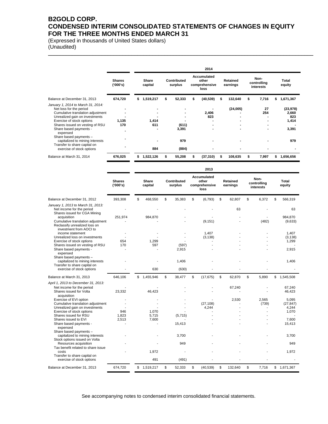# **B2GOLD CORP. CONDENSED INTERIM CONSOLIDATED STATEMENTS OF CHANGES IN EQUITY FOR THE THREE MONTHS ENDED MARCH 31**

\_\_\_\_\_\_\_\_\_\_\_\_\_\_\_\_\_\_\_\_\_\_\_\_\_\_\_\_\_\_\_\_\_\_\_\_\_\_\_\_\_\_\_\_\_\_\_\_\_\_\_\_\_\_\_\_\_\_\_\_\_\_\_\_\_\_\_\_\_\_\_\_\_\_\_\_\_\_\_\_\_\_\_\_\_\_\_\_\_

(Expressed in thousands of United States dollars) (Unaudited)

|                                                                                                                                                                                                                                                                      | 2014                      |    |                                          |   |                        |  |                                               |   |                                      |   |                                  |   |                                             |
|----------------------------------------------------------------------------------------------------------------------------------------------------------------------------------------------------------------------------------------------------------------------|---------------------------|----|------------------------------------------|---|------------------------|--|-----------------------------------------------|---|--------------------------------------|---|----------------------------------|---|---------------------------------------------|
|                                                                                                                                                                                                                                                                      | <b>Shares</b><br>('000's) |    | Share<br>capital                         |   | Contributed<br>surplus |  | Accumulated<br>other<br>comprehensive<br>loss |   | Retained<br>earnings                 |   | Non-<br>controlling<br>interests |   | Total<br>equity                             |
| Balance at December 31, 2013                                                                                                                                                                                                                                         | 674,720                   | S. | 1,519,217                                |   | 52,333                 |  | (40,539)                                      |   | 132,640                              |   | 7,716                            |   | 1,671,367                                   |
| January 1, 2014 to March 31, 2014:<br>Net loss for the period<br>Cumulative translation adjustment<br>Unrealized gain on investments<br>Exercise of stock options<br>Shares issued on vesting of RSU<br>Share based payments -<br>expensed<br>Share based payments - | 1,135<br>170              |    | $\overline{\phantom{0}}$<br>1,414<br>611 |   | (611)<br>3,391         |  | 2,406<br>823<br>$\overline{\phantom{0}}$      |   | (24,005)<br>$\overline{\phantom{0}}$ |   | 27<br>254                        |   | (23, 978)<br>2,660<br>823<br>1,414<br>3,391 |
| capitalized to mining interests<br>Transfer to share capital on<br>exercise of stock options                                                                                                                                                                         |                           |    | 884                                      |   | 979<br>(884)           |  |                                               |   |                                      |   |                                  |   | 979                                         |
| Balance at March 31, 2014                                                                                                                                                                                                                                            | 676,025                   | \$ | 1,522,126                                | S | 55,208                 |  | (37, 310)                                     | S | 108,635                              | S | 7,997                            | S | 1,656,656                                   |

|                                                                                                                                                                                      |                                          |                         |                               | 2013                                                 |                             |                                  |                                     |
|--------------------------------------------------------------------------------------------------------------------------------------------------------------------------------------|------------------------------------------|-------------------------|-------------------------------|------------------------------------------------------|-----------------------------|----------------------------------|-------------------------------------|
|                                                                                                                                                                                      | <b>Shares</b><br>('000's)                | <b>Share</b><br>capital | <b>Contributed</b><br>surplus | <b>Accumulated</b><br>other<br>comprehensive<br>loss | <b>Retained</b><br>earnings | Non-<br>controlling<br>interests | Total<br>equity                     |
| Balance at December 31, 2012                                                                                                                                                         | 393,308                                  | \$<br>468,550           | \$<br>35,383                  | \$<br>(6, 793)                                       | \$<br>62.807                | \$<br>6,372                      | \$<br>566,319                       |
| January 1, 2013 to March 31, 2013:<br>Net income for the period<br>Shares issued for CGA Mining<br>acquisition<br>Cumulative translation adjustment<br>Reclassify unrealized loss on | 251,974                                  | 984,870                 |                               | (9, 151)                                             | 63                          | (482)                            | 63<br>984.870<br>(9,633)            |
| investment from AOCI to<br>income statement<br>Unrealized loss on investments<br>Exercise of stock options<br>Shares issued on vesting of RSU<br>Share based payments -<br>expensed  | 654<br>170                               | 1,299<br>597            | (597)<br>2,915                | 1,407<br>(3, 138)                                    |                             |                                  | 1,407<br>(3, 138)<br>1,299<br>2,915 |
| Share based payments -<br>capitalized to mining interests<br>Transfer to share capital on<br>exercise of stock options                                                               |                                          | 630                     | 1,406<br>(630)                |                                                      |                             |                                  | 1,406                               |
| Balance at March 31, 2013                                                                                                                                                            | 646,106                                  | \$<br>1,455,946         | \$<br>38,477                  | \$<br>(17, 675)                                      | \$<br>62,870                | \$<br>5,890                      | \$1,545,508                         |
| April 1, 2013 to December 31, 2013:<br>Net income for the period<br>Shares issued for Volta<br>acquisition<br>Exercise of EVI option                                                 | 23,332                                   | 46,423                  |                               |                                                      | 67,240<br>2,530             | 2.565                            | 67,240<br>46,423<br>5.095           |
| Cumulative translation adjustment<br>Unrealized gain on investments<br>Exercise of stock options<br>Shares issued for RSU                                                            | $\overline{\phantom{a}}$<br>946<br>1,823 | 1,070<br>5,715          | (5,715)                       | (27, 108)<br>4,244                                   |                             | (739)                            | (27, 847)<br>4,244<br>1,070         |
| Shares issued to EVI<br>Share based payments -<br>expensed<br>Share based payments -                                                                                                 | 2,513                                    | 7,600                   | 15,413                        |                                                      |                             |                                  | 7,600<br>15,413                     |
| capitalized to mining interests<br>Stock options issued on Volta<br>Resources acquisition<br>Tax benefit related to share issue                                                      |                                          |                         | 3.700<br>949                  |                                                      |                             |                                  | 3,700<br>949                        |
| costs<br>Transfer to share capital on<br>exercise of stock options                                                                                                                   |                                          | 1.972<br>491            | (491)                         |                                                      |                             |                                  | 1,972                               |
| Balance at December 31, 2013                                                                                                                                                         | 674,720                                  | \$1,519,217             | \$<br>52,333                  | \$<br>(40, 539)                                      | \$<br>132,640               | \$<br>7,716                      | \$1,671,367                         |

See accompanying notes to condensed interim consolidated financial statements.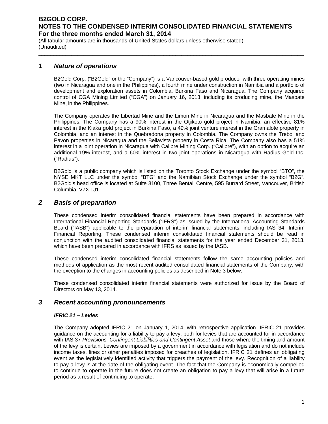\_\_\_\_\_\_\_\_\_\_\_\_\_\_\_\_\_\_\_\_\_\_\_\_\_\_\_\_\_\_\_\_\_\_\_\_\_\_\_\_\_\_\_\_\_\_\_\_\_\_\_\_\_\_\_\_\_\_\_\_\_\_\_\_\_\_\_\_\_\_\_\_\_\_\_\_\_\_\_\_\_\_\_\_\_\_\_\_\_

(All tabular amounts are in thousands of United States dollars unless otherwise stated) (Unaudited)

### *1 Nature of operations*

B2Gold Corp. ("B2Gold" or the "Company") is a Vancouver-based gold producer with three operating mines (two in Nicaragua and one in the Philippines), a fourth mine under construction in Namibia and a portfolio of development and exploration assets in Colombia, Burkina Faso and Nicaragua. The Company acquired control of CGA Mining Limited ("CGA") on January 16, 2013, including its producing mine, the Masbate Mine, in the Philippines.

The Company operates the Libertad Mine and the Limon Mine in Nicaragua and the Masbate Mine in the Philippines. The Company has a 90% interest in the Otjikoto gold project in Namibia, an effective 81% interest in the Kiaka gold project in Burkina Faso, a 49% joint venture interest in the Gramalote property in Colombia, and an interest in the Quebradona property in Colombia. The Company owns the Trebol and Pavon properties in Nicaragua and the Bellavista property in Costa Rica. The Company also has a 51% interest in a joint operation in Nicaragua with Calibre Mining Corp. ("Calibre"), with an option to acquire an additional 19% interest, and a 60% interest in two joint operations in Nicaragua with Radius Gold Inc. ("Radius").

B2Gold is a public company which is listed on the Toronto Stock Exchange under the symbol "BTO", the NYSE MKT LLC under the symbol "BTG" and the Namibian Stock Exchange under the symbol "B2G". B2Gold's head office is located at Suite 3100, Three Bentall Centre, 595 Burrard Street, Vancouver, British Columbia, V7X 1J1.

### *2 Basis of preparation*

These condensed interim consolidated financial statements have been prepared in accordance with International Financial Reporting Standards ("IFRS") as issued by the International Accounting Standards Board ("IASB") applicable to the preparation of interim financial statements, including IAS 34, Interim Financial Reporting. These condensed interim consolidated financial statements should be read in conjunction with the audited consolidated financial statements for the year ended December 31, 2013, which have been prepared in accordance with IFRS as issued by the IASB.

These condensed interim consolidated financial statements follow the same accounting policies and methods of application as the most recent audited consolidated financial statements of the Company, with the exception to the changes in accounting policies as described in Note 3 below.

These condensed consolidated interim financial statements were authorized for issue by the Board of Directors on May 13, 2014.

### *3 Recent accounting pronouncements*

#### *IFRIC 21 – Levies*

The Company adopted IFRIC 21 on January 1, 2014, with retrospective application. IFRIC 21 provides guidance on the accounting for a liability to pay a levy, both for levies that are accounted for in accordance with IAS 37 *Provisions, Contingent Liabilities and Contingent Asset* and those where the timing and amount of the levy is certain. Levies are imposed by a government in accordance with legislation and do not include income taxes, fines or other penalties imposed for breaches of legislation. IFRIC 21 defines an obligating event as the legislatively identified activity that triggers the payment of the levy. Recognition of a liability to pay a levy is at the date of the obligating event. The fact that the Company is economically compelled to continue to operate in the future does not create an obligation to pay a levy that will arise in a future period as a result of continuing to operate.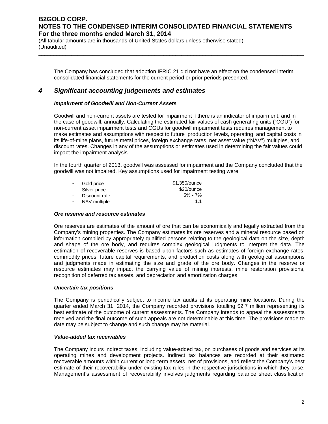(All tabular amounts are in thousands of United States dollars unless otherwise stated) (Unaudited)

The Company has concluded that adoption IFRIC 21 did not have an effect on the condensed interim consolidated financial statements for the current period or prior periods presented.

\_\_\_\_\_\_\_\_\_\_\_\_\_\_\_\_\_\_\_\_\_\_\_\_\_\_\_\_\_\_\_\_\_\_\_\_\_\_\_\_\_\_\_\_\_\_\_\_\_\_\_\_\_\_\_\_\_\_\_\_\_\_\_\_\_\_\_\_\_\_\_\_\_\_\_\_\_\_\_\_\_\_\_\_\_\_\_\_\_

### *4 Significant accounting judgements and estimates*

#### *Impairment of Goodwill and Non-Current Assets*

Goodwill and non-current assets are tested for impairment if there is an indicator of impairment, and in the case of goodwill, annually. Calculating the estimated fair values of cash generating units ("CGU") for non-current asset impairment tests and CGUs for goodwill impairment tests requires management to make estimates and assumptions with respect to future production levels, operating and capital costs in its life-of-mine plans, future metal prices, foreign exchange rates, net asset value ("NAV") multiples, and discount rates. Changes in any of the assumptions or estimates used in determining the fair values could impact the impairment analysis.

In the fourth quarter of 2013, goodwill was assessed for impairment and the Company concluded that the goodwill was not impaired. Key assumptions used for impairment testing were:

| $\sim$ 10 $\pm$ | Gold price     | \$1,350/ounce |
|-----------------|----------------|---------------|
|                 | - Silver price | \$20/ounce    |
|                 | Discount rate  | $5\%$ - 7%    |
|                 | NAV multiple   | 11            |

#### *Ore reserve and resource estimates*

Ore reserves are estimates of the amount of ore that can be economically and legally extracted from the Company's mining properties. The Company estimates its ore reserves and a mineral resource based on information compiled by appropriately qualified persons relating to the geological data on the size, depth and shape of the ore body, and requires complex geological judgments to interpret the data. The estimation of recoverable reserves is based upon factors such as estimates of foreign exchange rates, commodity prices, future capital requirements, and production costs along with geological assumptions and judgments made in estimating the size and grade of the ore body. Changes in the reserve or resource estimates may impact the carrying value of mining interests, mine restoration provisions, recognition of deferred tax assets, and depreciation and amortization charges

#### *Uncertain tax positions*

The Company is periodically subject to income tax audits at its operating mine locations. During the quarter ended March 31, 2014, the Company recorded provisions totalling \$2.7 million representing its best estimate of the outcome of current assessments. The Company intends to appeal the assessments received and the final outcome of such appeals are not determinable at this time. The provisions made to date may be subject to change and such change may be material.

#### *Value-added tax receivables*

The Company incurs indirect taxes, including value-added tax, on purchases of goods and services at its operating mines and development projects. Indirect tax balances are recorded at their estimated recoverable amounts within current or long-term assets, net of provisions, and reflect the Company's best estimate of their recoverability under existing tax rules in the respective jurisdictions in which they arise. Management's assessment of recoverability involves judgments regarding balance sheet classification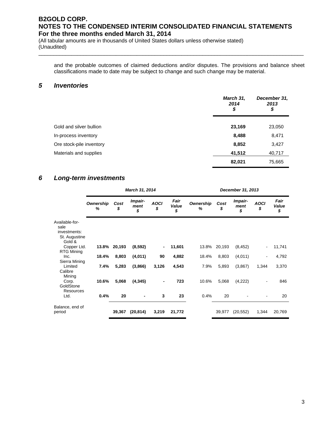(All tabular amounts are in thousands of United States dollars unless otherwise stated) (Unaudited)

and the probable outcomes of claimed deductions and/or disputes. The provisions and balance sheet classifications made to date may be subject to change and such change may be material.

\_\_\_\_\_\_\_\_\_\_\_\_\_\_\_\_\_\_\_\_\_\_\_\_\_\_\_\_\_\_\_\_\_\_\_\_\_\_\_\_\_\_\_\_\_\_\_\_\_\_\_\_\_\_\_\_\_\_\_\_\_\_\_\_\_\_\_\_\_\_\_\_\_\_\_\_\_\_\_\_\_\_\_\_\_\_\_\_\_

### *5 Inventories*

|                          | March 31,<br>2014<br>\$ | December 31,<br>2013<br>\$ |
|--------------------------|-------------------------|----------------------------|
| Gold and silver bullion  | 23,169                  | 23,050                     |
| In-process inventory     | 8,488                   | 8,471                      |
| Ore stock-pile inventory | 8,852                   | 3,427                      |
| Materials and supplies   | 41,512                  | 40,717                     |
|                          | 82,021                  | 75,665                     |

# *6 Long-term investments*

|                                                                   |                       |            | March 31, 2014        |                   |                     |                | December 31, 2013 |                       |                   |                     |  |  |  |
|-------------------------------------------------------------------|-----------------------|------------|-----------------------|-------------------|---------------------|----------------|-------------------|-----------------------|-------------------|---------------------|--|--|--|
|                                                                   | <b>Ownership</b><br>% | Cost<br>\$ | Impair-<br>ment<br>\$ | <b>AOCI</b><br>\$ | Fair<br>Value<br>\$ | Ownership<br>% | Cost<br>\$        | Impair-<br>ment<br>\$ | <b>AOCI</b><br>\$ | Fair<br>Value<br>\$ |  |  |  |
| Available-for-<br>sale<br>investments:<br>St. Augustine<br>Gold & |                       |            |                       |                   |                     |                |                   |                       |                   |                     |  |  |  |
| Copper Ltd.                                                       | 13.8%                 | 20,193     | (8,592)               | $\blacksquare$    | 11,601              | 13.8%          | 20,193            | (8, 452)              |                   | 11,741              |  |  |  |
| <b>RTG Mining</b><br>Inc.<br>Sierra Mining                        | 18.4%                 | 8,803      | (4,011)               | 90                | 4,882               | 18.4%          | 8,803             | (4,011)               | $\overline{a}$    | 4,792               |  |  |  |
| Limited<br>Calibre<br>Mining                                      | 7.4%                  | 5,283      | (3,866)               | 3,126             | 4,543               | 7.9%           | 5,893             | (3,867)               | 1,344             | 3,370               |  |  |  |
| Corp.<br>GoldStone<br>Resources                                   | 10.6%                 | 5,068      | (4, 345)              |                   | 723                 | 10.6%          | 5,068             | (4,222)               |                   | 846                 |  |  |  |
| Ltd.                                                              | 0.4%                  | 20         |                       | 3                 | 23                  | 0.4%           | 20                |                       |                   | 20                  |  |  |  |
| Balance, end of<br>period                                         |                       | 39,367     | (20, 814)             | 3,219             | 21,772              |                | 39,977            | (20, 552)             | 1,344             | 20,769              |  |  |  |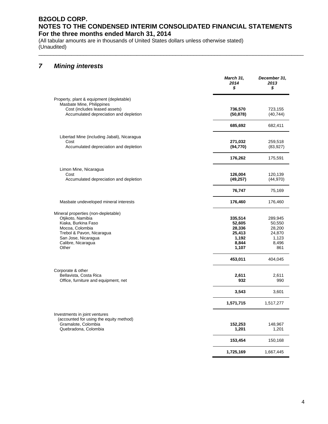\_\_\_\_\_\_\_\_\_\_\_\_\_\_\_\_\_\_\_\_\_\_\_\_\_\_\_\_\_\_\_\_\_\_\_\_\_\_\_\_\_\_\_\_\_\_\_\_\_\_\_\_\_\_\_\_\_\_\_\_\_\_\_\_\_\_\_\_\_\_\_\_\_\_\_\_\_\_\_\_\_\_\_\_\_\_\_\_\_

(All tabular amounts are in thousands of United States dollars unless otherwise stated) (Unaudited)

# *7 Mining interests*

|                                                                                                                                                                                       | <b>March 31,</b><br>2014<br>\$                                   | December 31,<br>2013<br>\$                                     |
|---------------------------------------------------------------------------------------------------------------------------------------------------------------------------------------|------------------------------------------------------------------|----------------------------------------------------------------|
| Property, plant & equipment (depletable)<br>Masbate Mine, Philippines<br>Cost (includes leased assets)<br>Accumulated depreciation and depletion                                      | 736,570<br>(50, 878)                                             | 723,155<br>(40, 744)                                           |
|                                                                                                                                                                                       | 685,692                                                          | 682,411                                                        |
| Libertad Mine (including Jabali), Nicaragua<br>Cost<br>Accumulated depreciation and depletion                                                                                         | 271,032<br>(94, 770)                                             | 259,518<br>(83, 927)                                           |
|                                                                                                                                                                                       | 176,262                                                          | 175,591                                                        |
| Limon Mine, Nicaragua<br>Cost<br>Accumulated depreciation and depletion                                                                                                               | 126,004<br>(49, 257)                                             | 120,139<br>(44, 970)                                           |
|                                                                                                                                                                                       | 76,747                                                           | 75,169                                                         |
| Masbate undeveloped mineral interests                                                                                                                                                 | 176,460                                                          | 176,460                                                        |
| Mineral properties (non-depletable)<br>Otjikoto, Namibia<br>Kiaka, Burkina Faso<br>Mocoa, Colombia<br>Trebol & Pavon, Nicaragua<br>San Jose, Nicaragua<br>Calibre, Nicaragua<br>Other | 335,514<br>52,605<br>28,336<br>25,413<br>1,192<br>8,844<br>1,107 | 289,945<br>50,550<br>28,200<br>24,870<br>1,123<br>8,496<br>861 |
| Corporate & other<br>Bellavista, Costa Rica<br>Office, furniture and equipment, net                                                                                                   | 453,011<br>2,611<br>932                                          | 404,045<br>2,611<br>990                                        |
|                                                                                                                                                                                       | 3,543                                                            | 3,601                                                          |
|                                                                                                                                                                                       | 1,571,715                                                        | 1,517,277                                                      |
| Investments in joint ventures<br>(accounted for using the equity method)<br>Gramalote, Colombia<br>Quebradona, Colombia                                                               | 152,253<br>1,201                                                 | 148,967<br>1,201                                               |
|                                                                                                                                                                                       | 153,454                                                          | 150,168                                                        |
|                                                                                                                                                                                       | 1,725,169                                                        | 1,667,445                                                      |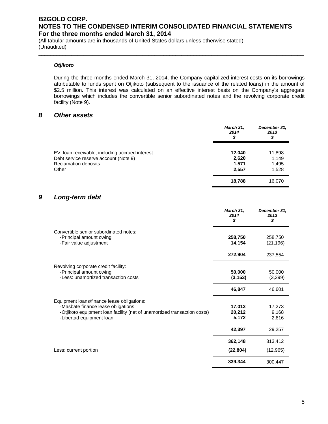\_\_\_\_\_\_\_\_\_\_\_\_\_\_\_\_\_\_\_\_\_\_\_\_\_\_\_\_\_\_\_\_\_\_\_\_\_\_\_\_\_\_\_\_\_\_\_\_\_\_\_\_\_\_\_\_\_\_\_\_\_\_\_\_\_\_\_\_\_\_\_\_\_\_\_\_\_\_\_\_\_\_\_\_\_\_\_\_\_

(All tabular amounts are in thousands of United States dollars unless otherwise stated) (Unaudited)

### *Otjikoto*

During the three months ended March 31, 2014, the Company capitalized interest costs on its borrowings attributable to funds spent on Otjikoto (subsequent to the issuance of the related loans) in the amount of \$2.5 million. This interest was calculated on an effective interest basis on the Company's aggregate borrowings which includes the convertible senior subordinated notes and the revolving corporate credit facility (Note 9).

### *8 Other assets*

|                                                               | March 31,<br>2014<br>\$ | December 31,<br>2013<br>\$ |
|---------------------------------------------------------------|-------------------------|----------------------------|
| EVI loan receivable, including accrued interest               | 12.040                  | 11,898                     |
| Debt service reserve account (Note 9)<br>Reclamation deposits | 2,620<br>1.571          | 1,149<br>1,495             |
| Other                                                         | 2,557                   | 1,528                      |
|                                                               | 18,788                  | 16,070                     |

### *9 Long-term debt*

|                                                                                                      | March 31,<br>2014<br>\$ | December 31,<br>2013<br>\$ |
|------------------------------------------------------------------------------------------------------|-------------------------|----------------------------|
| Convertible senior subordinated notes:<br>-Principal amount owing<br>-Fair value adjustment          | 258,750<br>14,154       | 258,750<br>(21, 196)       |
|                                                                                                      | 272,904                 | 237,554                    |
| Revolving corporate credit facility:<br>-Principal amount owing                                      | 50,000                  | 50,000                     |
| -Less: unamortized transaction costs                                                                 | (3, 153)                | (3,399)                    |
|                                                                                                      | 46,847                  | 46,601                     |
| Equipment loans/finance lease obligations:<br>-Masbate finance lease obligations                     | 17,013                  | 17,273                     |
| -Otjikoto equipment loan facility (net of unamortized transaction costs)<br>-Libertad equipment loan | 20,212<br>5,172         | 9,168<br>2,816             |
|                                                                                                      | 42,397                  | 29,257                     |
|                                                                                                      | 362,148                 | 313,412                    |
| Less: current portion                                                                                | (22, 804)               | (12,965)                   |
|                                                                                                      | 339,344                 | 300,447                    |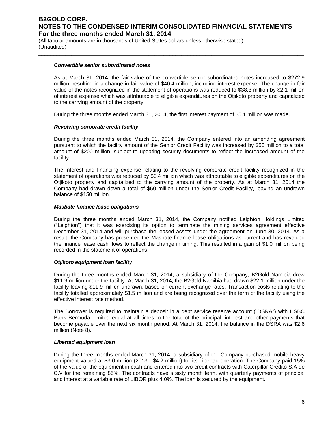\_\_\_\_\_\_\_\_\_\_\_\_\_\_\_\_\_\_\_\_\_\_\_\_\_\_\_\_\_\_\_\_\_\_\_\_\_\_\_\_\_\_\_\_\_\_\_\_\_\_\_\_\_\_\_\_\_\_\_\_\_\_\_\_\_\_\_\_\_\_\_\_\_\_\_\_\_\_\_\_\_\_\_\_\_\_\_\_\_

(All tabular amounts are in thousands of United States dollars unless otherwise stated) (Unaudited)

#### *Convertible senior subordinated notes*

As at March 31, 2014, the fair value of the convertible senior subordinated notes increased to \$272.9 million, resulting in a change in fair value of \$40.4 million, including interest expense. The change in fair value of the notes recognized in the statement of operations was reduced to \$38.3 million by \$2.1 million of interest expense which was attributable to eligible expenditures on the Otjikoto property and capitalized to the carrying amount of the property.

During the three months ended March 31, 2014, the first interest payment of \$5.1 million was made.

#### *Revolving corporate credit facility*

During the three months ended March 31, 2014, the Company entered into an amending agreement pursuant to which the facility amount of the Senior Credit Facility was increased by \$50 million to a total amount of \$200 million, subject to updating security documents to reflect the increased amount of the facility.

The interest and financing expense relating to the revolving corporate credit facility recognized in the statement of operations was reduced by \$0.4 million which was attributable to eligible expenditures on the Otjikoto property and capitalized to the carrying amount of the property. As at March 31, 2014 the Company had drawn down a total of \$50 million under the Senior Credit Facility, leaving an undrawn balance of \$150 million.

#### *Masbate finance lease obligations*

During the three months ended March 31, 2014, the Company notified Leighton Holdings Limited ("Leighton") that it was exercising its option to terminate the mining services agreement effective December 31, 2014 and will purchase the leased assets under the agreement on June 30, 2014. As a result, the Company has presented the Masbate finance lease obligations as current and has revalued the finance lease cash flows to reflect the change in timing. This resulted in a gain of \$1.0 million being recorded in the statement of operations.

#### *Otjikoto equipment loan facility*

During the three months ended March 31, 2014, a subsidiary of the Company, B2Gold Namibia drew \$11.9 million under the facility. At March 31, 2014, the B2Gold Namibia had drawn \$22.1 million under the facility leaving \$11.9 million undrawn, based on current exchange rates. Transaction costs relating to the facility totalled approximately \$1.5 million and are being recognized over the term of the facility using the effective interest rate method.

The Borrower is required to maintain a deposit in a debt service reserve account ("DSRA") with HSBC Bank Bermuda Limited equal at all times to the total of the principal, interest and other payments that become payable over the next six month period. At March 31, 2014, the balance in the DSRA was \$2.6 million (Note 8).

#### *Libertad equipment loan*

During the three months ended March 31, 2014, a subsidiary of the Company purchased mobile heavy equipment valued at \$3.0 million (2013 - \$4.2 million) for its Libertad operation. The Company paid 15% of the value of the equipment in cash and entered into two credit contracts with Caterpillar Crédito S.A de C.V for the remaining 85%. The contracts have a sixty month term, with quarterly payments of principal and interest at a variable rate of LIBOR plus 4.0%. The loan is secured by the equipment.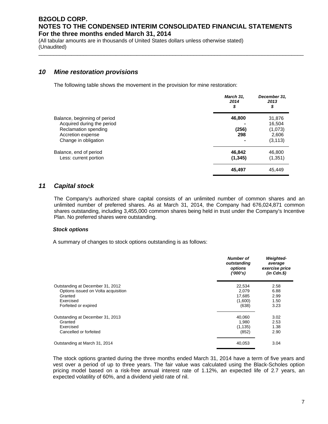\_\_\_\_\_\_\_\_\_\_\_\_\_\_\_\_\_\_\_\_\_\_\_\_\_\_\_\_\_\_\_\_\_\_\_\_\_\_\_\_\_\_\_\_\_\_\_\_\_\_\_\_\_\_\_\_\_\_\_\_\_\_\_\_\_\_\_\_\_\_\_\_\_\_\_\_\_\_\_\_\_\_\_\_\_\_\_\_\_

(All tabular amounts are in thousands of United States dollars unless otherwise stated) (Unaudited)

### *10 Mine restoration provisions*

The following table shows the movement in the provision for mine restoration:

|                                                                                                                                 | March 31,<br>2014<br>\$     | December 31,<br>2013<br>\$                       |
|---------------------------------------------------------------------------------------------------------------------------------|-----------------------------|--------------------------------------------------|
| Balance, beginning of period<br>Acquired during the period<br>Reclamation spending<br>Accretion expense<br>Change in obligation | 46,800<br>(256)<br>298<br>۰ | 31,876<br>16,504<br>(1,073)<br>2,606<br>(3, 113) |
| Balance, end of period<br>Less: current portion                                                                                 | 46,842<br>(1, 345)          | 46,800<br>(1,351)<br>45.449                      |
|                                                                                                                                 | 45,497                      |                                                  |

### *11 Capital stock*

The Company's authorized share capital consists of an unlimited number of common shares and an unlimited number of preferred shares. As at March 31, 2014, the Company had 676,024,871 common shares outstanding, including 3,455,000 common shares being held in trust under the Company's Incentive Plan. No preferred shares were outstanding.

### *Stock options*

A summary of changes to stock options outstanding is as follows:

|                                     | <b>Number of</b><br>outstanding<br>options<br>(1000's) | <b>Weighted-</b><br>average<br>exercise price<br>$(in$ $Cdn.\$ |
|-------------------------------------|--------------------------------------------------------|----------------------------------------------------------------|
| Outstanding at December 31, 2012    | 22,534                                                 | 2.58                                                           |
| Options issued on Volta acquisition | 2.079                                                  | 6.88                                                           |
| Granted                             | 17,685                                                 | 2.99                                                           |
| Exercised                           | (1,600)                                                | 1.50                                                           |
| Forfeited or expired                | (638)                                                  | 3.23                                                           |
| Outstanding at December 31, 2013    | 40,060                                                 | 3.02                                                           |
| Granted                             | 1.980                                                  | 2.53                                                           |
| Exercised                           | (1, 135)                                               | 1.38                                                           |
| Cancelled or forfeited              | (852)                                                  | 2.90                                                           |
| Outstanding at March 31, 2014       | 40,053                                                 | 3.04                                                           |

The stock options granted during the three months ended March 31, 2014 have a term of five years and vest over a period of up to three years. The fair value was calculated using the Black-Scholes option pricing model based on a risk-free annual interest rate of 1.12%, an expected life of 2.7 years, an expected volatility of 60%, and a dividend yield rate of nil.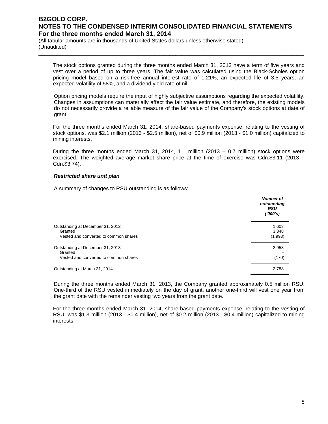\_\_\_\_\_\_\_\_\_\_\_\_\_\_\_\_\_\_\_\_\_\_\_\_\_\_\_\_\_\_\_\_\_\_\_\_\_\_\_\_\_\_\_\_\_\_\_\_\_\_\_\_\_\_\_\_\_\_\_\_\_\_\_\_\_\_\_\_\_\_\_\_\_\_\_\_\_\_\_\_\_\_\_\_\_\_\_\_\_

(All tabular amounts are in thousands of United States dollars unless otherwise stated) (Unaudited)

The stock options granted during the three months ended March 31, 2013 have a term of five years and vest over a period of up to three years. The fair value was calculated using the Black-Scholes option pricing model based on a risk-free annual interest rate of 1.21%, an expected life of 3.5 years, an expected volatility of 58%, and a dividend yield rate of nil.

Option pricing models require the input of highly subjective assumptions regarding the expected volatility. Changes in assumptions can materially affect the fair value estimate, and therefore, the existing models do not necessarily provide a reliable measure of the fair value of the Company's stock options at date of grant.

For the three months ended March 31, 2014, share-based payments expense, relating to the vesting of stock options, was \$2.1 million (2013 - \$2.5 million), net of \$0.9 million (2013 - \$1.0 million) capitalized to mining interests.

During the three months ended March 31, 2014, 1.1 million (2013 – 0.7 million) stock options were exercised. The weighted average market share price at the time of exercise was Cdn.\$3.11 (2013 – Cdn.\$3.74).

#### *Restricted share unit plan*

A summary of changes to RSU outstanding is as follows:

|                                                                                      | Number of<br>outstanding<br><b>RSU</b><br>(1000's) |
|--------------------------------------------------------------------------------------|----------------------------------------------------|
| Outstanding at December 31, 2012<br>Granted<br>Vested and converted to common shares | 1,603<br>3,348<br>(1,993)                          |
| Outstanding at December 31, 2013<br>Granted<br>Vested and converted to common shares | 2,958<br>(170)                                     |
| Outstanding at March 31, 2014                                                        | 2,788                                              |

During the three months ended March 31, 2013, the Company granted approximately 0.5 million RSU. One-third of the RSU vested immediately on the day of grant, another one-third will vest one year from the grant date with the remainder vesting two years from the grant date.

For the three months ended March 31, 2014, share-based payments expense, relating to the vesting of RSU, was \$1.3 million (2013 - \$0.4 million), net of \$0.2 million (2013 - \$0.4 million) capitalized to mining interests.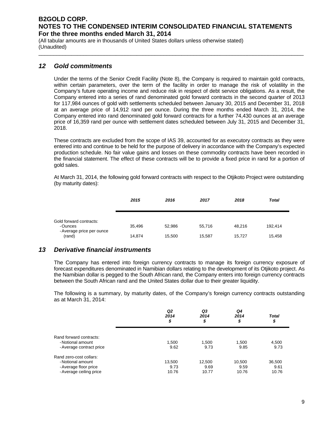\_\_\_\_\_\_\_\_\_\_\_\_\_\_\_\_\_\_\_\_\_\_\_\_\_\_\_\_\_\_\_\_\_\_\_\_\_\_\_\_\_\_\_\_\_\_\_\_\_\_\_\_\_\_\_\_\_\_\_\_\_\_\_\_\_\_\_\_\_\_\_\_\_\_\_\_\_\_\_\_\_\_\_\_\_\_\_\_\_

(All tabular amounts are in thousands of United States dollars unless otherwise stated) (Unaudited)

### *12 Gold commitments*

Under the terms of the Senior Credit Facility (Note 8), the Company is required to maintain gold contracts, within certain parameters, over the term of the facility in order to manage the risk of volatility in the Company's future operating income and reduce risk in respect of debt service obligations. As a result, the Company entered into a series of rand denominated gold forward contracts in the second quarter of 2013 for 117,984 ounces of gold with settlements scheduled between January 30, 2015 and December 31, 2018 at an average price of 14,912 rand per ounce. During the three months ended March 31, 2014, the Company entered into rand denominated gold forward contracts for a further 74,430 ounces at an average price of 16,359 rand per ounce with settlement dates scheduled between July 31, 2015 and December 31, 2018.

These contracts are excluded from the scope of IAS 39, accounted for as executory contracts as they were entered into and continue to be held for the purpose of delivery in accordance with the Company's expected production schedule. No fair value gains and losses on these commodity contracts have been recorded in the financial statement. The effect of these contracts will be to provide a fixed price in rand for a portion of gold sales.

At March 31, 2014, the following gold forward contracts with respect to the Otjikoto Project were outstanding (by maturity dates):

|                                     | 2015   | 2016   | 2017   | 2018   | <b>Total</b> |
|-------------------------------------|--------|--------|--------|--------|--------------|
| Gold forward contracts:<br>-Ounces  | 35.496 | 52,986 | 55,716 | 48.216 | 192.414      |
| - Average price per ounce<br>(rand) | 14,874 | 15,500 | 15,587 | 15,727 | 15,458       |

### *13 Derivative financial instruments*

The Company has entered into foreign currency contracts to manage its foreign currency exposure of forecast expenditures denominated in Namibian dollars relating to the development of its Otjikoto project. As the Namibian dollar is pegged to the South African rand, the Company enters into foreign currency contracts between the South African rand and the United States dollar due to their greater liquidity.

The following is a summary, by maturity dates, of the Company's foreign currency contracts outstanding as at March 31, 2014:

|                                                                                                  | Q <sub>2</sub><br>2014<br>\$ | Q3<br>2014<br>\$        | Q4<br>2014<br>o<br>⊅    | Total<br>\$             |  |
|--------------------------------------------------------------------------------------------------|------------------------------|-------------------------|-------------------------|-------------------------|--|
| Rand forward contracts:<br>- Notional amount<br>- Average contract price                         | 1,500<br>9.62                | 1,500<br>9.73           | 1,500<br>9.85           | 4,500<br>9.73           |  |
| Rand zero-cost collars:<br>- Notional amount<br>- Average floor price<br>- Average ceiling price | 13,500<br>9.73<br>10.76      | 12,500<br>9.69<br>10.77 | 10,500<br>9.59<br>10.76 | 36,500<br>9.61<br>10.76 |  |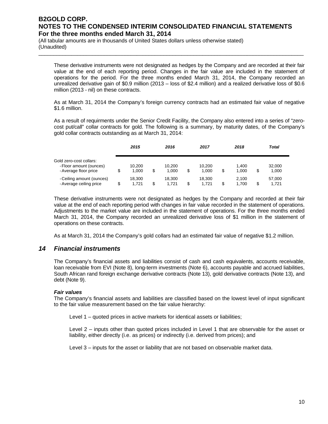\_\_\_\_\_\_\_\_\_\_\_\_\_\_\_\_\_\_\_\_\_\_\_\_\_\_\_\_\_\_\_\_\_\_\_\_\_\_\_\_\_\_\_\_\_\_\_\_\_\_\_\_\_\_\_\_\_\_\_\_\_\_\_\_\_\_\_\_\_\_\_\_\_\_\_\_\_\_\_\_\_\_\_\_\_\_\_\_\_

(All tabular amounts are in thousands of United States dollars unless otherwise stated) (Unaudited)

These derivative instruments were not designated as hedges by the Company and are recorded at their fair value at the end of each reporting period. Changes in the fair value are included in the statement of operations for the period. For the three months ended March 31, 2014, the Company recorded an unrealized derivative gain of \$0.9 million (2013 – loss of \$2.4 million) and a realized derivative loss of \$0.6 million (2013 - nil) on these contracts.

As at March 31, 2014 the Company's foreign currency contracts had an estimated fair value of negative \$1.6 million.

As a result of requirments under the Senior Credit Facility, the Company also entered into a series of "zerocost put/call" collar contracts for gold. The following is a summary, by maturity dates, of the Company's gold collar contracts outstanding as at March 31, 2014:

|                                                                             | 2015                  | 2016                  |   | 2017            | 2018                 | <b>Total</b>          |  |
|-----------------------------------------------------------------------------|-----------------------|-----------------------|---|-----------------|----------------------|-----------------------|--|
| Gold zero-cost collars:<br>- Floor amount (ounces)<br>- Average floor price | \$<br>10.200<br>1.000 | \$<br>10.200<br>1.000 | S | 10.200<br>1.000 | \$<br>1.400<br>1.000 | \$<br>32,000<br>1,000 |  |
| - Ceiling amount (ounces)<br>- Average ceiling price                        | \$<br>18.300<br>1.721 | \$<br>18.300<br>1.721 | S | 18.300<br>1.721 | \$<br>2.100<br>1.700 | \$<br>57,000<br>1.721 |  |

These derivative instruments were not designated as hedges by the Company and recorded at their fair value at the end of each reporting period with changes in fair value recorded in the statement of operations. Adjustments to the market value are included in the statement of operations. For the three months ended March 31, 2014, the Company recorded an unrealized derivative loss of \$1 million in the statement of operations on these contracts.

As at March 31, 2014 the Company's gold collars had an estimated fair value of negative \$1.2 million.

### *14 Financial instruments*

The Company's financial assets and liabilities consist of cash and cash equivalents, accounts receivable, loan receivable from EVI (Note 8), long-term investments (Note 6), accounts payable and accrued liabilities, South African rand foreign exchange derivative contracts (Note 13), gold derivative contracts (Note 13), and debt (Note 9).

#### *Fair values*

The Company's financial assets and liabilities are classified based on the lowest level of input significant to the fair value measurement based on the fair value hierarchy:

Level 1 – quoted prices in active markets for identical assets or liabilities;

Level 2 – inputs other than quoted prices included in Level 1 that are observable for the asset or liability, either directly (i.e. as prices) or indirectly (i.e. derived from prices); and

Level 3 – inputs for the asset or liability that are not based on observable market data.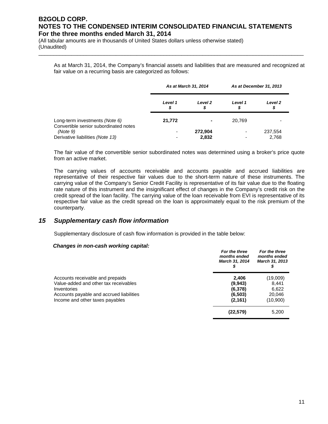(All tabular amounts are in thousands of United States dollars unless otherwise stated) (Unaudited)

As at March 31, 2014, the Company's financial assets and liabilities that are measured and recognized at fair value on a recurring basis are categorized as follows:

\_\_\_\_\_\_\_\_\_\_\_\_\_\_\_\_\_\_\_\_\_\_\_\_\_\_\_\_\_\_\_\_\_\_\_\_\_\_\_\_\_\_\_\_\_\_\_\_\_\_\_\_\_\_\_\_\_\_\_\_\_\_\_\_\_\_\_\_\_\_\_\_\_\_\_\_\_\_\_\_\_\_\_\_\_\_\_\_\_

|                                                                         | As at March 31, 2014 |               | As at December 31, 2013  |               |
|-------------------------------------------------------------------------|----------------------|---------------|--------------------------|---------------|
|                                                                         | Level 1<br>\$        | Level 2<br>\$ | Level 1<br>\$            | Level 2<br>\$ |
| Long-term investments (Note 6)<br>Convertible senior subordinated notes | 21,772               |               | 20,769                   |               |
| (Note 9)                                                                |                      | 272,904       |                          | 237,554       |
| Derivative liabilities (Note 13)                                        |                      | 2,832         | $\overline{\phantom{0}}$ | 2.768         |

The fair value of the convertible senior subordinated notes was determined using a broker's price quote from an active market.

The carrying values of accounts receivable and accounts payable and accrued liabilities are representative of their respective fair values due to the short-term nature of these instruments. The carrying value of the Company's Senior Credit Facility is representative of its fair value due to the floating rate nature of this instrument and the insignificant effect of changes in the Company's credit risk on the credit spread of the loan facility. The carrying value of the loan receivable from EVI is representative of its respective fair value as the credit spread on the loan is approximately equal to the risk premium of the counterparty.

### *15 Supplementary cash flow information*

Supplementary disclosure of cash flow information is provided in the table below:

#### *Changes in non-cash working capital:*

| For the three<br>months ended<br>March 31, 2014 | For the three<br>months ended<br><b>March 31, 2013</b> |
|-------------------------------------------------|--------------------------------------------------------|
| 2.406                                           | (19,009)                                               |
|                                                 | 8.441                                                  |
|                                                 | 6,622<br>20.046                                        |
| (2, 161)                                        | (10,900)                                               |
| (22, 579)                                       | 5,200                                                  |
|                                                 | (9,943)<br>(6,378)<br>(6,503)                          |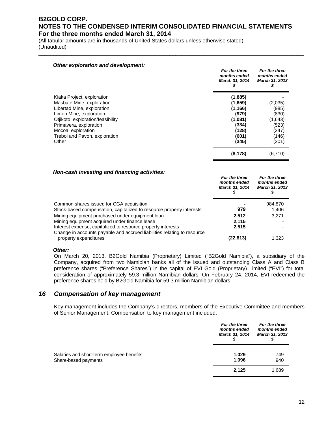\_\_\_\_\_\_\_\_\_\_\_\_\_\_\_\_\_\_\_\_\_\_\_\_\_\_\_\_\_\_\_\_\_\_\_\_\_\_\_\_\_\_\_\_\_\_\_\_\_\_\_\_\_\_\_\_\_\_\_\_\_\_\_\_\_\_\_\_\_\_\_\_\_\_\_\_\_\_\_\_\_\_\_\_\_\_\_\_\_

(All tabular amounts are in thousands of United States dollars unless otherwise stated) (Unaudited)

| Other exploration and development:                      | For the three<br>months ended<br>March 31, 2014<br>s | For the three<br>months ended<br>March 31, 2013<br>s |
|---------------------------------------------------------|------------------------------------------------------|------------------------------------------------------|
| Kiaka Project, exploration<br>Masbate Mine, exploration | (1,885)<br>(1,659)                                   | (2,035)                                              |
| Libertad Mine, exploration                              | (1, 166)                                             | (985)                                                |
| Limon Mine, exploration                                 | (979)                                                | (830)                                                |
| Otjikoto, exploration/feasibility                       | (1,081)                                              | (1,643)                                              |
| Primavera, exploration                                  | (334)                                                | (523)                                                |
| Mocoa, exploration                                      | (128)                                                | (247)                                                |
| Trebol and Pavon, exploration                           | (601)                                                | (146)                                                |
| Other                                                   | (345)                                                | (301)                                                |
|                                                         | (8, 178)                                             | (6,710)                                              |

#### *Non-cash investing and financing activities:*

|                                                                         | For the three<br>months ended<br>March 31, 2014 | For the three<br>months ended<br>March 31, 2013 |
|-------------------------------------------------------------------------|-------------------------------------------------|-------------------------------------------------|
| Common shares issued for CGA acquisition                                |                                                 | 984.870                                         |
| Stock-based compensation, capitalized to resource property interests    | 979                                             | 1,406                                           |
| Mining equipment purchased under equipment loan                         | 2.512                                           | 3.271                                           |
| Mining equipment acquired under finance lease                           | 2.115                                           |                                                 |
| Interest expense, capitalized to resource property interests            | 2,515                                           |                                                 |
| Change in accounts payable and accrued liabilities relating to resource |                                                 |                                                 |
| property expenditures                                                   | (22.813)                                        | 1.323                                           |

#### *Other:*

On March 20, 2013, B2Gold Namibia (Proprietary) Limited ("B2Gold Namibia"), a subsidiary of the Company, acquired from two Namibian banks all of the issued and outstanding Class A and Class B preference shares ("Preference Shares") in the capital of EVI Gold (Proprietary) Limited ("EVI") for total consideration of approximately 59.3 million Namibian dollars. On February 24, 2014, EVI redeemed the preference shares held by B2Gold Namibia for 59.3 million Namibian dollars.

### *16 Compensation of key management*

Key management includes the Company's directors, members of the Executive Committee and members of Senior Management. Compensation to key management included:

|                                                                   | For the three<br>months ended<br>March 31, 2014 | For the three<br>months ended<br>March 31, 2013 |  |
|-------------------------------------------------------------------|-------------------------------------------------|-------------------------------------------------|--|
| Salaries and short-term employee benefits<br>Share-based payments | 1,029<br>1.096                                  | 749<br>940                                      |  |
|                                                                   | 2,125                                           | 1,689                                           |  |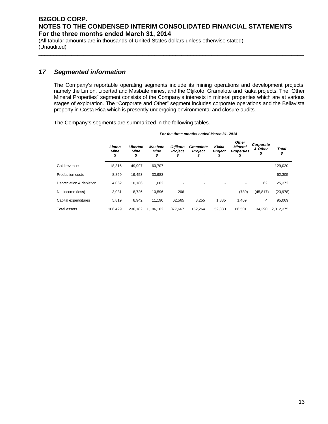\_\_\_\_\_\_\_\_\_\_\_\_\_\_\_\_\_\_\_\_\_\_\_\_\_\_\_\_\_\_\_\_\_\_\_\_\_\_\_\_\_\_\_\_\_\_\_\_\_\_\_\_\_\_\_\_\_\_\_\_\_\_\_\_\_\_\_\_\_\_\_\_\_\_\_\_\_\_\_\_\_\_\_\_\_\_\_\_\_

(All tabular amounts are in thousands of United States dollars unless otherwise stated) (Unaudited)

# *17 Segmented information*

The Company's reportable operating segments include its mining operations and development projects, namely the Limon, Libertad and Masbate mines, and the Otjikoto, Gramalote and Kiaka projects. The "Other Mineral Properties" segment consists of the Company's interests in mineral properties which are at various stages of exploration. The "Corporate and Other" segment includes corporate operations and the Bellavista property in Costa Rica which is presently undergoing environmental and closure audits.

The Company's segments are summarized in the following tables.

|                          | Limon<br>Mine<br>\$ | Libertad<br>Mine<br>\$ | <b>Masbate</b><br>Mine<br>\$ | <b>Otiikoto</b><br><b>Project</b><br>s | Gramalote<br>Project | Kiaka<br>Project<br>ъ    | Other<br><b>Mineral</b><br><b>Properties</b><br>J | Corporate<br>& Other<br>Φ | Total<br>\$ |
|--------------------------|---------------------|------------------------|------------------------------|----------------------------------------|----------------------|--------------------------|---------------------------------------------------|---------------------------|-------------|
| Gold revenue             | 18,316              | 49,997                 | 60,707                       |                                        |                      |                          |                                                   | $\overline{\phantom{a}}$  | 129,020     |
| Production costs         | 8,869               | 19,453                 | 33,983                       |                                        | -                    | $\overline{\phantom{0}}$ |                                                   | $\overline{\phantom{a}}$  | 62,305      |
| Depreciation & depletion | 4,062               | 10,186                 | 11,062                       |                                        |                      |                          |                                                   | 62                        | 25,372      |
| Net income (loss)        | 3,031               | 8,726                  | 10,596                       | 266                                    |                      | -                        | (780)                                             | (45, 817)                 | (23, 978)   |
| Capital expenditures     | 5,819               | 8.942                  | 11.190                       | 62.565                                 | 3,255                | 1,885                    | 1,409                                             | 4                         | 95,069      |
| <b>Total assets</b>      | 106.429             | 236.182                | 1.186.162                    | 377.667                                | 152.264              | 52.880                   | 66.501                                            | 134.290                   | 2.312.375   |

*For the three months ended March 31, 2014*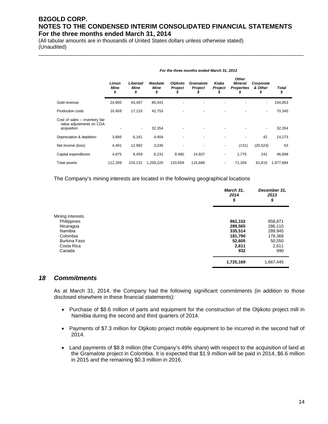\_\_\_\_\_\_\_\_\_\_\_\_\_\_\_\_\_\_\_\_\_\_\_\_\_\_\_\_\_\_\_\_\_\_\_\_\_\_\_\_\_\_\_\_\_\_\_\_\_\_\_\_\_\_\_\_\_\_\_\_\_\_\_\_\_\_\_\_\_\_\_\_\_\_\_\_\_\_\_\_\_\_\_\_\_\_\_\_\_

(All tabular amounts are in thousands of United States dollars unless otherwise stated) (Unaudited)

|                                                                           | For the three months ended March 31, 2013 |                        |                                     |                     |                             |                        |                                                          |                            |                    |  |
|---------------------------------------------------------------------------|-------------------------------------------|------------------------|-------------------------------------|---------------------|-----------------------------|------------------------|----------------------------------------------------------|----------------------------|--------------------|--|
|                                                                           | Limon<br>Mine<br>\$                       | Libertad<br>Mine<br>\$ | <b>Masbate</b><br><b>Mine</b><br>\$ | Otjikoto<br>Project | <b>Gramalote</b><br>Project | Kiaka<br>Project<br>J. | <b>Other</b><br><b>Mineral</b><br><b>Properties</b><br>S | Corporate<br>& Other<br>\$ | <b>Total</b><br>\$ |  |
| Gold revenue                                                              | 24,905                                    | 43,407                 | 86,541                              |                     |                             |                        |                                                          | ۰                          | 154,853            |  |
| <b>Production costs</b>                                                   | 10,459                                    | 17,133                 | 42,753                              |                     |                             |                        |                                                          | -                          | 70,345             |  |
| Cost of sales – inventory fair<br>value adjustments on CGA<br>acquisition |                                           | ٠                      | 32,354                              |                     |                             |                        |                                                          |                            | 32,354             |  |
| Depreciation & depletion                                                  | 3,666                                     | 6,161                  | 4,404                               |                     |                             |                        |                                                          | 42                         | 14,273             |  |
| Net income (loss)                                                         | 4,491                                     | 12,982                 | 3,245                               |                     |                             |                        | (131)                                                    | (20, 524)                  | 63                 |  |
| Capital expenditures                                                      | 4,875                                     | 9,459                  | 6,231                               | 9,480               | 14,837                      | ۰                      | 1,775                                                    | 241                        | 46,898             |  |
| <b>Total assets</b>                                                       | 112,269                                   | 224,131                | 1,259,220                           | 133,659             | 115,686                     | ٠                      | 71,304                                                   | 61,615                     | 1,977,884          |  |

The Company's mining interests are located in the following geographical locations

|                     | March 31,<br>2014<br>\$ | December 31,<br>2013<br>\$ |
|---------------------|-------------------------|----------------------------|
| Mining interests    |                         |                            |
| Philippines         | 862,152                 | 858,871                    |
| Nicaragua           | 289,565                 | 286,110                    |
| Namibia             | 335,514                 | 289,945                    |
| Colombia            | 181,790                 | 178,368                    |
| <b>Burkina Faso</b> | 52,605                  | 50,550                     |
| Costa Rica          | 2,611                   | 2,611                      |
| Canada              | 932                     | 990                        |
|                     | 1,725,169               | 1,667,445                  |

### *18 Commitments*

As at March 31, 2014, the Company had the following significant commitments (in addition to those disclosed elsewhere in these financial statements):

- Purchase of \$8.6 million of parts and equipment for the construction of the Otijkoto project mill in Namibia during the second and third quarters of 2014.
- Payments of \$7.3 million for Otjikoto project mobile equipment to be incurred in the second half of 2014.
- Land payments of \$8.8 million (the Company's 49% share) with respect to the acquisition of land at the Gramalote project in Colombia. It is expected that \$1.9 million will be paid in 2014, \$6.6 million in 2015 and the remaining \$0.3 million in 2016.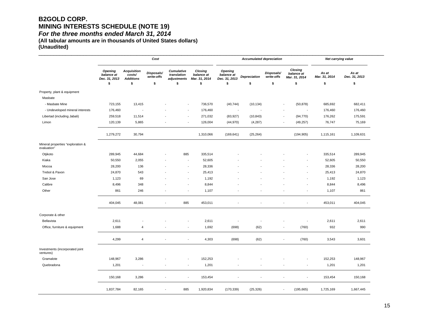# **B2GOLD CORP. MINING INTERESTS SCHEDULE (NOTE 19)**  *For the three months ended March 31, 2014*

**(All tabular amounts are in thousands of United States dollars)** 

**(Unaudited)** 

|                                                  | Cost                                                |                                                        |                                |                                                       |                                              | <b>Accumulated depreciation</b>                     |                           |                                |                                             | Net carrying value           |                              |
|--------------------------------------------------|-----------------------------------------------------|--------------------------------------------------------|--------------------------------|-------------------------------------------------------|----------------------------------------------|-----------------------------------------------------|---------------------------|--------------------------------|---------------------------------------------|------------------------------|------------------------------|
|                                                  | <b>Opening</b><br>balance at<br>Dec. 31, 2013<br>\$ | <b>Acquisition</b><br>costs/<br><b>Additions</b><br>\$ | Disposals/<br>write-offs<br>\$ | <b>Cumulative</b><br>translation<br>adjustments<br>\$ | Closing<br>balance at<br>Mar. 31, 2014<br>\$ | <b>Opening</b><br>balance at<br>Dec. 31, 2013<br>\$ | <b>Depreciation</b><br>\$ | Disposals/<br>write-offs<br>\$ | Closing<br>balance at<br>Mar. 31, 2014<br>S | As at<br>Mar. 31, 2014<br>\$ | As at<br>Dec. 31, 2013<br>\$ |
|                                                  |                                                     |                                                        |                                |                                                       |                                              |                                                     |                           |                                |                                             |                              |                              |
| Property, plant & equipment                      |                                                     |                                                        |                                |                                                       |                                              |                                                     |                           |                                |                                             |                              |                              |
| Masbate                                          |                                                     |                                                        |                                |                                                       |                                              |                                                     |                           |                                |                                             |                              |                              |
| - Masbate Mine                                   | 723,155                                             | 13,415                                                 |                                | ÷,                                                    | 736,570                                      | (40, 744)                                           | (10, 134)                 |                                | (50, 878)<br>÷,                             | 685,692                      | 682,411                      |
| - Undeveloped mineral interests                  | 176,460                                             |                                                        |                                | $\overline{\phantom{a}}$                              | 176,460                                      | $\overline{\phantom{a}}$                            |                           |                                |                                             | 176,460                      | 176,460                      |
| Libertad (including Jabali)                      | 259,518                                             | 11,514                                                 |                                | $\overline{a}$                                        | 271,032                                      | (83, 927)                                           | (10, 843)                 | J.                             | (94, 770)                                   | 176,262                      | 175,591                      |
| Limon                                            | 120,139                                             | 5,865                                                  |                                | $\overline{a}$                                        | 126,004                                      | (44, 970)                                           | (4, 287)                  |                                | (49, 257)                                   | 76,747                       | 75,169                       |
|                                                  | 1,279,272                                           | 30,794                                                 |                                |                                                       | 1,310,066                                    | (169, 641)                                          | (25, 264)                 |                                | (194, 905)                                  | 1,115,161                    | 1,109,631                    |
| Mineral properties "exploration &<br>evaluation" |                                                     |                                                        |                                |                                                       |                                              |                                                     |                           |                                |                                             |                              |                              |
| Otjikoto                                         | 289,945                                             | 44,684                                                 | $\overline{\phantom{a}}$       | 885                                                   | 335,514                                      |                                                     |                           |                                |                                             | 335,514                      | 289,945                      |
| Kiaka                                            | 50,550                                              | 2,055                                                  |                                | $\sim$                                                | 52,605                                       |                                                     |                           |                                |                                             | 52,605                       | 50,550                       |
| Mocoa                                            | 28,200                                              | 136                                                    |                                | ÷,                                                    | 28,336                                       |                                                     |                           |                                |                                             | 28,336                       | 28,200                       |
| Trebol & Pavon                                   | 24,870                                              | 543                                                    |                                | $\overline{\phantom{a}}$                              | 25,413                                       |                                                     |                           |                                |                                             | 25,413                       | 24,870                       |
| San Jose                                         | 1,123                                               | 69                                                     |                                | $\blacksquare$                                        | 1,192                                        |                                                     |                           |                                |                                             | 1,192                        | 1,123                        |
| Calibre                                          | 8,496                                               | 348                                                    |                                | $\blacksquare$                                        | 8,844                                        |                                                     |                           |                                |                                             | 8,844                        | 8,496                        |
| Other                                            | 861                                                 | 246                                                    | $\blacksquare$                 | $\overline{\phantom{a}}$                              | 1,107                                        |                                                     |                           |                                | $\overline{\phantom{a}}$                    | 1,107                        | 861                          |
|                                                  | 404,045                                             | 48,081                                                 | $\overline{\phantom{a}}$       | 885                                                   | 453,011                                      |                                                     |                           |                                |                                             | 453,011                      | 404,045                      |
| Corporate & other                                |                                                     |                                                        |                                |                                                       |                                              |                                                     |                           |                                |                                             |                              |                              |
| Bellavista                                       | 2,611                                               |                                                        |                                | $\overline{\phantom{a}}$                              | 2,611                                        | $\overline{\phantom{a}}$                            |                           |                                | $\overline{\phantom{a}}$                    | 2,611                        | 2,611                        |
| Office, furniture & equipment                    | 1,688                                               | $\overline{4}$                                         |                                | $\overline{\phantom{a}}$                              | 1,692                                        | (698)                                               | (62)                      |                                | (760)<br>$\blacksquare$                     | 932                          | 990                          |
|                                                  | 4,299                                               | $\overline{4}$                                         |                                | $\overline{\phantom{a}}$                              | 4,303                                        | (698)                                               | (62)                      |                                | (760)<br>$\overline{\phantom{a}}$           | 3,543                        | 3,601                        |
| Investments (incorporated joint<br>ventures)     |                                                     |                                                        |                                |                                                       |                                              |                                                     |                           |                                |                                             |                              |                              |
| Gramalote                                        | 148,967                                             | 3,286                                                  |                                | $\overline{\phantom{a}}$                              | 152,253                                      |                                                     |                           |                                |                                             | 152,253                      | 148,967                      |
| Quebradona                                       | 1,201                                               | $\overline{\phantom{a}}$                               | $\blacksquare$                 | $\overline{\phantom{a}}$                              | 1,201                                        |                                                     |                           |                                | $\overline{\phantom{a}}$                    | 1,201                        | 1,201                        |
|                                                  |                                                     |                                                        |                                |                                                       |                                              |                                                     |                           |                                |                                             |                              |                              |
|                                                  | 150,168                                             | 3,286                                                  | $\overline{\phantom{a}}$       | $\overline{\phantom{a}}$                              | 153,454                                      |                                                     |                           |                                |                                             | 153,454                      | 150,168                      |
|                                                  | 1,837,784                                           | 82,165                                                 |                                | 885                                                   | 1,920,834                                    | (170, 339)                                          | (25, 326)                 |                                | (195, 665)<br>$\blacksquare$                | 1,725,169                    | 1,667,445                    |